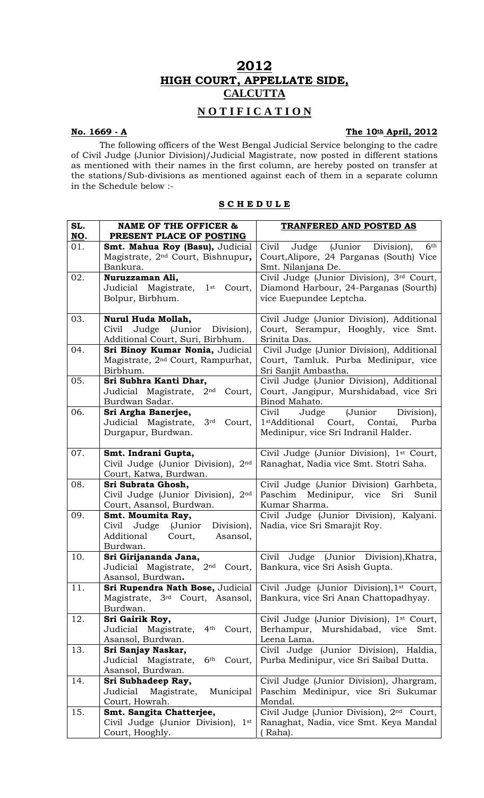## **2012 HIGH COURT, APPELLATE SIDE, CALCUTTA N O T I F I C A T I O N**

## **No. 1669 - A The 10th April, 2012**

The following officers of the West Bengal Judicial Service belonging to the cadre of Civil Judge (Junior Division)/Judicial Magistrate, now posted in different stations as mentioned with their names in the first column, are hereby posted on transfer at the stations/Sub-divisions as mentioned against each of them in a separate column in the Schedule below :-

## **S C H E D U L E**

| SL.        | <b>NAME OF THE OFFICER &amp;</b>                               | TRANFERED AND POSTED AS                                                                         |
|------------|----------------------------------------------------------------|-------------------------------------------------------------------------------------------------|
| <b>NO.</b> | PRESENT PLACE OF POSTING                                       |                                                                                                 |
| 01.        | Smt. Mahua Roy (Basu), Judicial                                | 6 <sup>th</sup><br>Civil Judge (Junior Division),                                               |
|            | Magistrate, 2 <sup>nd</sup> Court, Bishnupur,                  | Court, Alipore, 24 Parganas (South) Vice                                                        |
|            | Bankura.                                                       | Smt. Nilanjana De.                                                                              |
| 02.        | Nuruzzaman Ali,                                                | Civil Judge (Junior Division), 3rd Court,                                                       |
|            | Judicial Magistrate, 1st Court,                                | Diamond Harbour, 24-Parganas (Sourth)                                                           |
|            | Bolpur, Birbhum.                                               | vice Euepundee Leptcha.                                                                         |
|            |                                                                |                                                                                                 |
| 03.        | Nurul Huda Mollah,                                             | Civil Judge (Junior Division), Additional                                                       |
|            | Civil Judge (Junior Division),                                 | Court, Serampur, Hooghly, vice Smt.                                                             |
|            | Additional Court, Suri, Birbhum.                               | Srinita Das.                                                                                    |
| 04.        | Sri Binoy Kumar Nonia, Judicial                                | Civil Judge (Junior Division), Additional                                                       |
|            | Magistrate, 2 <sup>nd</sup> Court, Rampurhat,                  | Court, Tamluk. Purba Medinipur, vice                                                            |
|            | Birbhum.                                                       | Sri Sanjit Ambastha.                                                                            |
| 05.        | Sri Subhra Kanti Dhar,                                         | Civil Judge (Junior Division), Additional                                                       |
|            | Judicial Magistrate, 2nd<br>Court,                             | Court, Jangipur, Murshidabad, vice Sri                                                          |
|            | Burdwan Sadar.                                                 | Binod Mahato.                                                                                   |
| 06.        | Sri Argha Banerjee,                                            | Judge (Junior Division),<br>Civil                                                               |
|            | Judicial Magistrate,<br>3 <sup>rd</sup><br>Court,              | 1 <sup>st</sup> Additional Court, Contai,<br>Purba                                              |
|            | Durgapur, Burdwan.                                             | Medinipur, vice Sri Indranil Halder.                                                            |
|            |                                                                |                                                                                                 |
| 07.        | Smt. Indrani Gupta,                                            | Civil Judge (Junior Division), 1st Court,                                                       |
|            | Civil Judge (Junior Division), 2nd                             | Ranaghat, Nadia vice Smt. Stotri Saha.                                                          |
|            | Court, Katwa, Burdwan.                                         |                                                                                                 |
| 08.        | Sri Subrata Ghosh,                                             | Civil Judge (Junior Division) Garhbeta,                                                         |
|            | Civil Judge (Junior Division), 2nd                             | Paschim Medinipur, vice<br>Sri<br>Sunil                                                         |
|            | Court, Asansol, Burdwan.                                       | Kumar Sharma.                                                                                   |
| 09.        | Smt. Moumita Ray,                                              | Civil Judge (Junior Division), Kalyani.                                                         |
|            | Civil Judge (Junior Division),                                 | Nadia, vice Sri Smarajit Roy.                                                                   |
|            | Additional<br>Asansol,<br>Court,                               |                                                                                                 |
| 10.        | Burdwan.                                                       | Civil<br>Judge                                                                                  |
|            | Sri Girijananda Jana,<br>2 <sup>nd</sup> Court,                | (Junior Division), Khatra,<br>Bankura, vice Sri Asish Gupta.                                    |
|            | Judicial Magistrate,<br>Asansol, Burdwan.                      |                                                                                                 |
|            |                                                                |                                                                                                 |
|            |                                                                |                                                                                                 |
| 11.        | Sri Rupendra Nath Bose, Judicial                               | Civil Judge (Junior Division), 1st Court,                                                       |
|            | Magistrate, 3 <sup>rd</sup> Court, Asansol,                    | Bankura, vice Sri Anan Chattopadhyay.                                                           |
|            | Burdwan.                                                       |                                                                                                 |
| 12.        | Sri Gairik Roy,                                                | Civil Judge (Junior Division), 1st Court,                                                       |
|            | Judicial Magistrate,<br>4 <sup>th</sup><br>Court,              | Berhampur,<br>Murshidabad, vice<br>Smt.                                                         |
|            | Asansol, Burdwan.                                              | Leena Lama.                                                                                     |
| 13.        | Sri Sanjay Naskar,                                             | Civil Judge (Junior Division), Haldia,                                                          |
|            | Judicial Magistrate,<br>6 <sup>th</sup><br>Court,              | Purba Medinipur, vice Sri Saibal Dutta.                                                         |
|            | Asansol, Burdwan.                                              |                                                                                                 |
| 14.        | Sri Subhadeep Ray,                                             | Civil Judge (Junior Division), Jhargram,                                                        |
|            | Judicial<br>Magistrate,<br>Municipal                           | Paschim Medinipur, vice Sri Sukumar                                                             |
|            | Court, Howrah.                                                 | Mondal.                                                                                         |
| 15.        | Smt. Sangita Chatterjee,<br>Civil Judge (Junior Division), 1st | Civil Judge (Junior Division), 2 <sup>nd</sup> Court,<br>Ranaghat, Nadia, vice Smt. Keya Mandal |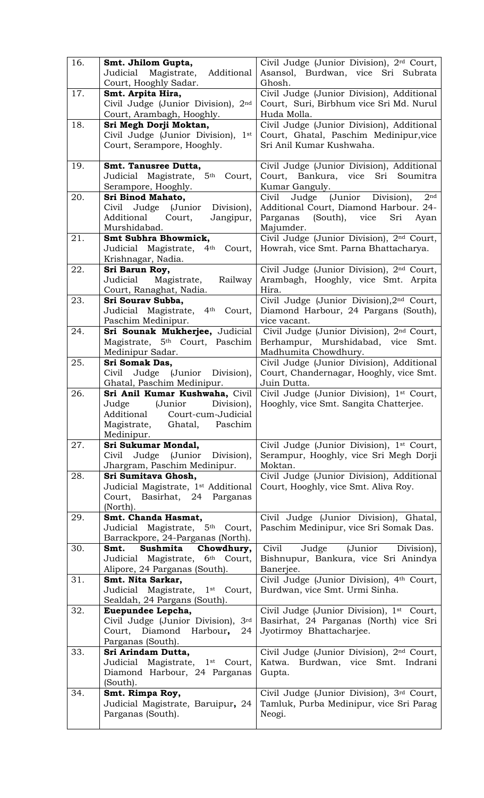| 16. | Smt. Jhilom Gupta,                                | Civil Judge (Junior Division), 2rd Court,             |
|-----|---------------------------------------------------|-------------------------------------------------------|
|     | Judicial Magistrate,<br>Additional                | Asansol, Burdwan, vice Sri Subrata                    |
|     | Court, Hooghly Sadar.                             | Ghosh.                                                |
| 17. | Smt. Arpita Hira,                                 | Civil Judge (Junior Division), Additional             |
|     | Civil Judge (Junior Division),<br>2 <sup>nd</sup> | Court, Suri, Birbhum vice Sri Md. Nurul               |
|     |                                                   | Huda Molla.                                           |
|     | Court, Arambagh, Hooghly.                         |                                                       |
| 18. | Sri Megh Dorji Moktan,                            | Civil Judge (Junior Division), Additional             |
|     | Civil Judge (Junior Division),<br>$1$ st          | Court, Ghatal, Paschim Medinipur, vice                |
|     | Court, Serampore, Hooghly.                        | Sri Anil Kumar Kushwaha.                              |
|     |                                                   |                                                       |
| 19. | Smt. Tanusree Dutta,                              | Civil Judge (Junior Division), Additional             |
|     | 5 <sup>th</sup> Court,<br>Judicial Magistrate,    | Court, Bankura, vice Sri<br>Soumitra                  |
|     | Serampore, Hooghly.                               | Kumar Ganguly.                                        |
| 20. | Sri Binod Mahato,                                 | Civil Judge (Junior Division),<br>2 <sub>nd</sub>     |
|     | Civil Judge<br>(Junior<br>Division),              | Additional Court, Diamond Harbour. 24-                |
|     | Additional<br>Court,<br>Jangipur,                 | Parganas<br>(South), vice<br>Sri<br>Ayan              |
|     | Murshidabad.                                      | Majumder.                                             |
| 21. | Smt Subhra Bhowmick,                              | Civil Judge (Junior Division), 2 <sup>nd</sup> Court, |
|     | Judicial Magistrate,<br>4 <sup>th</sup><br>Court, | Howrah, vice Smt. Parna Bhattacharya.                 |
|     | Krishnagar, Nadia.                                |                                                       |
| 22. | Sri Barun Roy,                                    | Civil Judge (Junior Division), 2 <sup>nd</sup> Court, |
|     | Judicial<br>Magistrate,<br>Railway                | Arambagh, Hooghly, vice Smt. Arpita                   |
|     | Court, Ranaghat, Nadia.                           | Hira.                                                 |
| 23. | Sri Sourav Subba,                                 | Civil Judge (Junior Division), 2nd Court,             |
|     | 4 <sup>th</sup> Court,<br>Judicial Magistrate,    | Diamond Harbour, 24 Pargans (South),                  |
|     | Paschim Medinipur.                                | vice vacant.                                          |
| 24. | Sri Sounak Mukherjee, Judicial                    | Civil Judge (Junior Division), 2 <sup>nd</sup> Court, |
|     | Magistrate, 5 <sup>th</sup> Court, Paschim        | Smt.                                                  |
|     |                                                   | Berhampur, Murshidabad, vice                          |
|     | Medinipur Sadar.                                  | Madhumita Chowdhury.                                  |
| 25. | Sri Somak Das,                                    | Civil Judge (Junior Division), Additional             |
|     | (Junior Division),<br>Civil<br>Judge              | Court, Chandernagar, Hooghly, vice Smt.               |
|     | Ghatal, Paschim Medinipur.                        | Juin Dutta.                                           |
| 26. | Sri Anil Kumar Kushwaha, Civil                    | Civil Judge (Junior Division), 1 <sup>st</sup> Court, |
|     | Judge<br>(Junior<br>Division),                    | Hooghly, vice Smt. Sangita Chatterjee.                |
|     | Additional<br>Court-cum-Judicial                  |                                                       |
|     | Magistrate,<br>Ghatal,<br>Paschim                 |                                                       |
|     | Medinipur.                                        |                                                       |
| 27. | Sri Sukumar Mondal,                               | Civil Judge (Junior Division), 1 <sup>st</sup> Court, |
|     | Judge<br>(Junior Division),<br>Civil              | Serampur, Hooghly, vice Sri Megh Dorji                |
|     | Jhargram, Paschim Medinipur.                      | Moktan.                                               |
| 28. | Sri Sumitava Ghosh,                               | Civil Judge (Junior Division), Additional             |
|     | Judicial Magistrate, 1 <sup>st</sup> Additional   | Court, Hooghly, vice Smt. Aliva Roy.                  |
|     | Court, Basirhat, 24 Parganas                      |                                                       |
|     | (North).                                          |                                                       |
| 29. | Smt. Chanda Hasmat,                               | Civil Judge (Junior Division), Ghatal,                |
|     | Judicial Magistrate,<br>5 <sup>th</sup> Court,    | Paschim Medinipur, vice Sri Somak Das.                |
|     | Barrackpore, 24-Parganas (North).                 |                                                       |
| 30. | Sushmita<br>Chowdhury,<br>Smt.                    | Civil<br>Judge<br>(Junior<br>Division),               |
|     | Judicial Magistrate,<br>6th Court,                | Bishnupur, Bankura, vice Sri Anindya                  |
|     | Alipore, 24 Parganas (South).                     | Banerjee.                                             |
| 31. | Smt. Nita Sarkar,                                 | Civil Judge (Junior Division), 4th Court,             |
|     | Judicial Magistrate, 1 <sup>st</sup> Court,       | Burdwan, vice Smt. Urmi Sinha.                        |
|     | Sealdah, 24 Pargans (South).                      |                                                       |
| 32. | Euepundee Lepcha,                                 | Civil Judge (Junior Division), 1st Court,             |
|     | Civil Judge (Junior Division),<br>3 <sup>rd</sup> | Basirhat, 24 Parganas (North) vice Sri                |
|     | Diamond Harbour,<br>Court,<br>24                  | Jyotirmoy Bhattacharjee.                              |
|     | Parganas (South).                                 |                                                       |
| 33. | Sri Arindam Dutta,                                | Civil Judge (Junior Division), 2 <sup>nd</sup> Court, |
|     | Judicial Magistrate, 1 <sup>st</sup> Court,       | Katwa.<br>Burdwan, vice Smt.<br>Indrani               |
|     | Diamond Harbour, 24 Parganas                      | Gupta.                                                |
|     | (South).                                          |                                                       |
| 34. | Smt. Rimpa Roy,                                   | Civil Judge (Junior Division), 3rd Court,             |
|     | Judicial Magistrate, Baruipur, 24                 | Tamluk, Purba Medinipur, vice Sri Parag               |
|     | Parganas (South).                                 | Neogi.                                                |
|     |                                                   |                                                       |